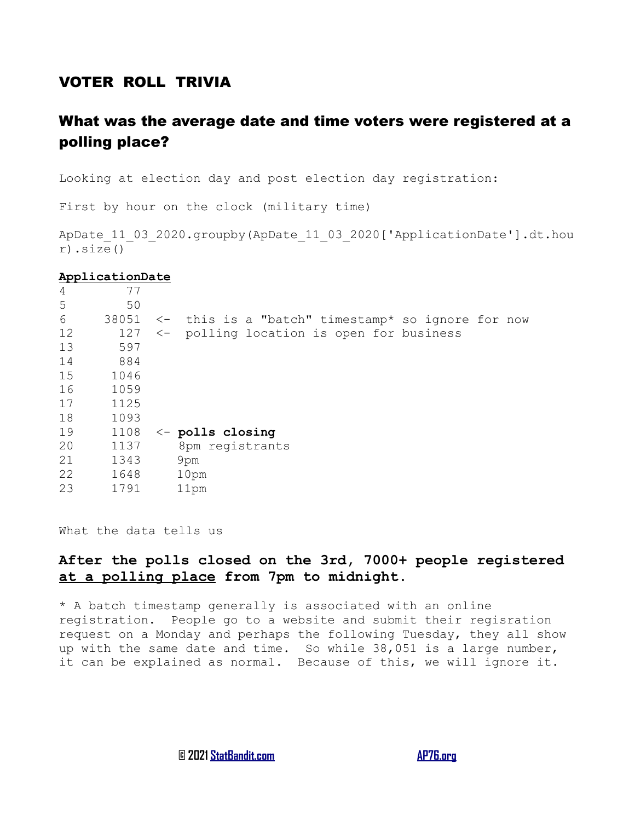## VOTER ROLL TRIVIA

# What was the average date and time voters were registered at a polling place?

Looking at election day and post election day registration:

First by hour on the clock (military time)

ApDate 11 03 2020.groupby(ApDate 11 03 2020['ApplicationDate'].dt.hou r).size()

#### **ApplicationDate**

| $\overline{4}$ | 77    |                                                                |  |  |
|----------------|-------|----------------------------------------------------------------|--|--|
| 5              | 50    |                                                                |  |  |
| 6              | 38051 | this is a "batch" timestamp* so ignore for now<br>$\leftarrow$ |  |  |
| 12             | 127   | polling location is open for business<br>$\leftarrow$          |  |  |
| 13             | 597   |                                                                |  |  |
| 14             | 884   |                                                                |  |  |
| 15             | 1046  |                                                                |  |  |
| 16             | 1059  |                                                                |  |  |
| 17             | 1125  |                                                                |  |  |
| 18             | 1093  |                                                                |  |  |
| 19             | 1108  | $\leftarrow$ polls closing                                     |  |  |
| 20             | 1137  | 8pm registrants                                                |  |  |
| 21             | 1343  | 9pm                                                            |  |  |
| 22             | 1648  | 10 <sub>pm</sub>                                               |  |  |
| 23             | 1791  | 11pm                                                           |  |  |
|                |       |                                                                |  |  |

What the data tells us

## **After the polls closed on the 3rd, 7000+ people registered at a polling place from 7pm to midnight.**

\* A batch timestamp generally is associated with an online registration. People go to a website and submit their regisration request on a Monday and perhaps the following Tuesday, they all show up with the same date and time. So while 38,051 is a large number, it can be explained as normal. Because of this, we will ignore it.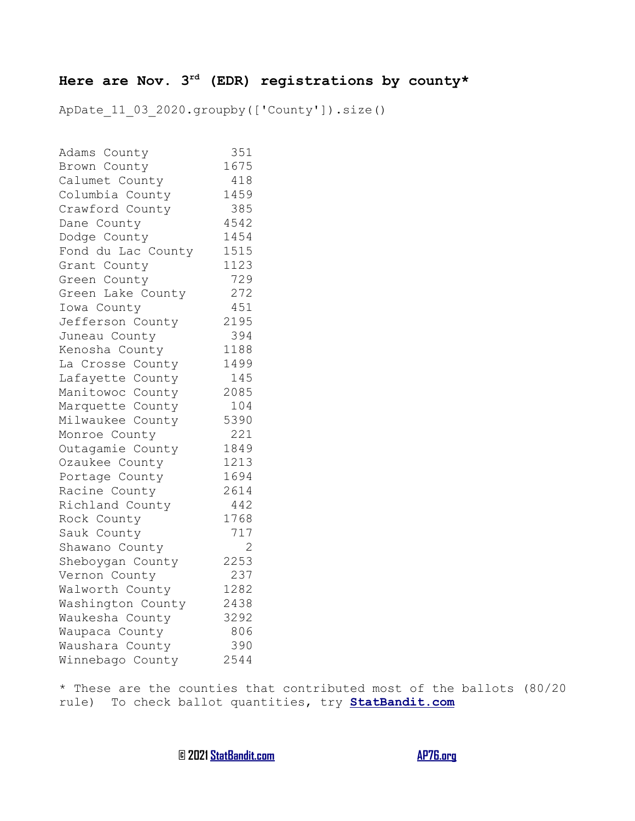# **Here are Nov. 3rd (EDR) registrations by county\***

ApDate 11 03 2020.groupby(['County']).size()

| Adams County       | 351            |
|--------------------|----------------|
| Brown County       | 1675           |
| Calumet County     | 418            |
| Columbia County    | 1459           |
| Crawford County    | 385            |
| Dane County        | 4542           |
| Dodge County       | 1454           |
| Fond du Lac County | 1515           |
| Grant County       | 1123           |
| Green County       | 729            |
| Green Lake County  | 272            |
| Iowa County        | 451            |
| Jefferson County   | 2195           |
| Juneau County      | 394            |
| Kenosha County     | 1188           |
| La Crosse County   | 1499           |
| Lafayette County   | 145            |
| Manitowoc County   | 2085           |
| Marquette County   | 104            |
| Milwaukee County   | 5390           |
| Monroe County      | 221            |
| Outagamie County   | 1849           |
| Ozaukee County     | 1213           |
| Portage County     | 1694           |
| Racine County      | 2614           |
| Richland County    | 442            |
| Rock County        | 1768           |
| Sauk County        | 717            |
| Shawano County     | $\overline{2}$ |
| Sheboygan County   | 2253           |
| Vernon County      | 237            |
| Walworth County    | 1282           |
| Washington County  | 2438           |
| Waukesha County    | 3292           |
| Waupaca County     | 806            |
| Waushara County    | 390            |
| Winnebago County   | 2544           |

\* These are the counties that contributed most of the ballots (80/20 rule) To check ballot quantities, try **[StatBandit.com](https://StatBandit.com/)**